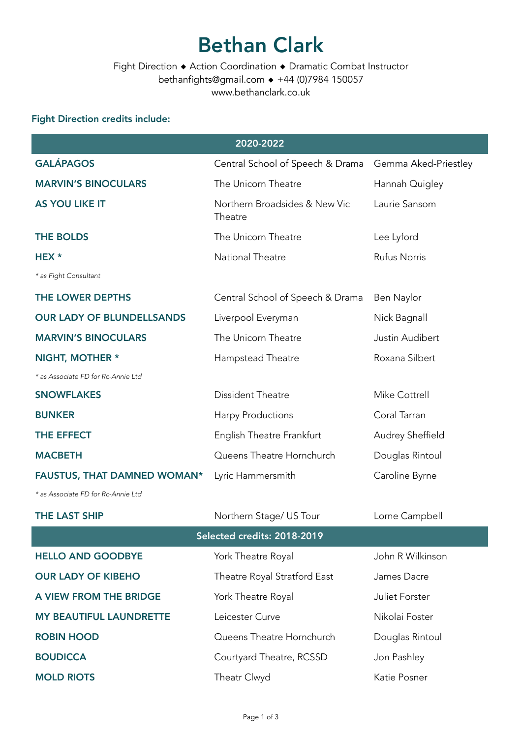# Bethan Clark

Fight Direction ◆ Action Coordination ◆ Dramatic Combat Instructor bethanfights@gmail.com ◆ +44 (0)7984 150057 www.bethanclark.co.uk

#### Fight Direction credits include:

| 2020-2022                          |                                          |                      |  |  |
|------------------------------------|------------------------------------------|----------------------|--|--|
| <b>GALÁPAGOS</b>                   | Central School of Speech & Drama         | Gemma Aked-Priestley |  |  |
| <b>MARVIN'S BINOCULARS</b>         | The Unicorn Theatre                      | Hannah Quigley       |  |  |
| <b>AS YOU LIKE IT</b>              | Northern Broadsides & New Vic<br>Theatre | Laurie Sansom        |  |  |
| <b>THE BOLDS</b>                   | The Unicorn Theatre                      | Lee Lyford           |  |  |
| HEX *                              | National Theatre                         | <b>Rufus Norris</b>  |  |  |
| * as Fight Consultant              |                                          |                      |  |  |
| THE LOWER DEPTHS                   | Central School of Speech & Drama         | Ben Naylor           |  |  |
| <b>OUR LADY OF BLUNDELLSANDS</b>   | Liverpool Everyman                       | Nick Bagnall         |  |  |
| <b>MARVIN'S BINOCULARS</b>         | The Unicorn Theatre                      | Justin Audibert      |  |  |
| NIGHT, MOTHER *                    | Hampstead Theatre                        | Roxana Silbert       |  |  |
| * as Associate FD for Rc-Annie Ltd |                                          |                      |  |  |
| <b>SNOWFLAKES</b>                  | Dissident Theatre                        | Mike Cottrell        |  |  |
| <b>BUNKER</b>                      | <b>Harpy Productions</b>                 | Coral Tarran         |  |  |
| THE EFFECT                         | English Theatre Frankfurt                | Audrey Sheffield     |  |  |
| <b>MACBETH</b>                     | Queens Theatre Hornchurch                | Douglas Rintoul      |  |  |
| <b>FAUSTUS, THAT DAMNED WOMAN*</b> | Lyric Hammersmith                        | Caroline Byrne       |  |  |
| * as Associate FD for Rc-Annie Ltd |                                          |                      |  |  |
| <b>THE LAST SHIP</b>               | Northern Stage/ US Tour                  | Lorne Campbell       |  |  |
| Selected credits: 2018-2019        |                                          |                      |  |  |
| <b>HELLO AND GOODBYE</b>           | York Theatre Royal                       | John R Wilkinson     |  |  |
| <b>OUR LADY OF KIBEHO</b>          | Theatre Royal Stratford East             | James Dacre          |  |  |
| A VIEW FROM THE BRIDGE             | York Theatre Royal                       | Juliet Forster       |  |  |
| <b>MY BEAUTIFUL LAUNDRETTE</b>     | Leicester Curve                          | Nikolai Foster       |  |  |
| <b>ROBIN HOOD</b>                  | Queens Theatre Hornchurch                | Douglas Rintoul      |  |  |
| <b>BOUDICCA</b>                    | Courtyard Theatre, RCSSD                 | Jon Pashley          |  |  |
| <b>MOLD RIOTS</b>                  | Theatr Clwyd                             | Katie Posner         |  |  |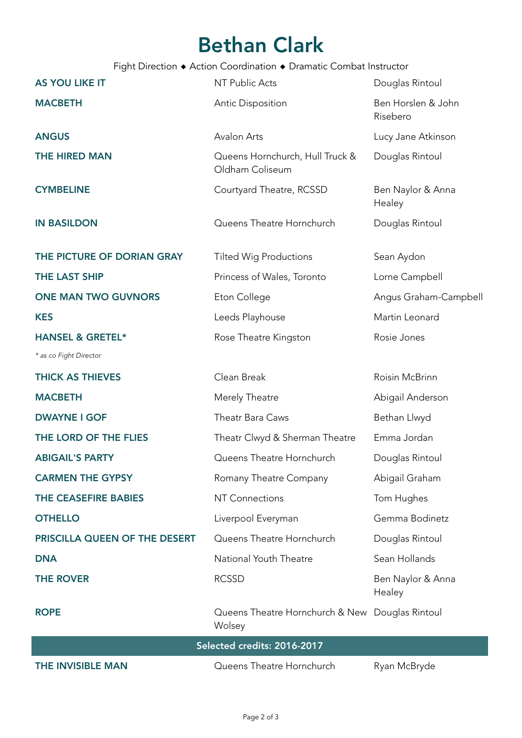# Bethan Clark

Fight Direction ◆ Action Coordination ◆ Dramatic Combat Instructor

| <b>AS YOU LIKE IT</b>         | NT Public Acts                                            | Douglas Rintoul                |  |
|-------------------------------|-----------------------------------------------------------|--------------------------------|--|
| <b>MACBETH</b>                | <b>Antic Disposition</b>                                  | Ben Horslen & John<br>Risebero |  |
| <b>ANGUS</b>                  | <b>Avalon Arts</b>                                        | Lucy Jane Atkinson             |  |
| <b>THE HIRED MAN</b>          | Queens Hornchurch, Hull Truck &<br>Oldham Coliseum        | Douglas Rintoul                |  |
| <b>CYMBELINE</b>              | Courtyard Theatre, RCSSD                                  | Ben Naylor & Anna<br>Healey    |  |
| <b>IN BASILDON</b>            | Queens Theatre Hornchurch                                 | Douglas Rintoul                |  |
| THE PICTURE OF DORIAN GRAY    | <b>Tilted Wig Productions</b>                             | Sean Aydon                     |  |
| THE LAST SHIP                 | Princess of Wales, Toronto                                | Lorne Campbell                 |  |
| <b>ONE MAN TWO GUVNORS</b>    | Eton College                                              | Angus Graham-Campbell          |  |
| <b>KES</b>                    | Leeds Playhouse                                           | Martin Leonard                 |  |
| <b>HANSEL &amp; GRETEL*</b>   | Rose Theatre Kingston                                     | Rosie Jones                    |  |
| * as co Fight Director        |                                                           |                                |  |
| <b>THICK AS THIEVES</b>       | Clean Break                                               | Roisin McBrinn                 |  |
| <b>MACBETH</b>                | Merely Theatre                                            | Abigail Anderson               |  |
| <b>DWAYNE I GOF</b>           | Theatr Bara Caws                                          | Bethan Llwyd                   |  |
| THE LORD OF THE FLIES         | Theatr Clwyd & Sherman Theatre                            | Emma Jordan                    |  |
| <b>ABIGAIL'S PARTY</b>        | Queens Theatre Hornchurch                                 | Douglas Rintoul                |  |
| <b>CARMEN THE GYPSY</b>       | Romany Theatre Company                                    | Abigail Graham                 |  |
| THE CEASEFIRE BABIES          | <b>NT Connections</b>                                     | Tom Hughes                     |  |
| <b>OTHELLO</b>                | Liverpool Everyman                                        | Gemma Bodinetz                 |  |
| PRISCILLA QUEEN OF THE DESERT | Queens Theatre Hornchurch                                 | Douglas Rintoul                |  |
| <b>DNA</b>                    | National Youth Theatre                                    | Sean Hollands                  |  |
| <b>THE ROVER</b>              | <b>RCSSD</b>                                              | Ben Naylor & Anna<br>Healey    |  |
| <b>ROPE</b>                   | Queens Theatre Hornchurch & New Douglas Rintoul<br>Wolsey |                                |  |
| Selected credits: 2016-2017   |                                                           |                                |  |
| <b>THE INVISIBLE MAN</b>      | Queens Theatre Hornchurch                                 | Ryan McBryde                   |  |